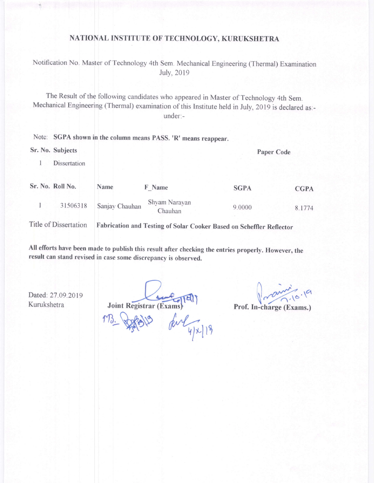## NATIONAL INSTITUTE OF TECHNOLOGY, KURUKSHETRA

Notification No. Master of Technology 4th Sem. Mechanical Engineering (Thermal) Examination July,2019

The Result of the following candidates who appeared in Master of Technology 4th Sem. Mechanical Engineering (Thermal) examination of this Institute held in July, 2019 is declared as:under:-

| Note: SGPA shown in the column means PASS. 'R' means reappear. |                |                          |             |             |  |  |  |
|----------------------------------------------------------------|----------------|--------------------------|-------------|-------------|--|--|--|
| Sr. No. Subjects                                               |                |                          |             | Paper Code  |  |  |  |
| Dissertation                                                   |                |                          |             |             |  |  |  |
| Sr. No. Roll No.                                               | Name           | F Name                   | <b>SGPA</b> | <b>CGPA</b> |  |  |  |
| 31506318                                                       | Sanjay Chauhan | Shyam Narayan<br>Chauhan | 9.0000      | 8.1774      |  |  |  |
|                                                                |                |                          |             |             |  |  |  |

Title of Dissertation Fabrication and Testing of Solar Cooker Based on Scheffler Reflector

All efforts have been made to publish this result after checking the entries properly. However, the result can stand revised in case some discrepancy is observed.

Dated: 27.09.2019 Kurukshetra

Joint-Registrar (Exams)

Prof. In-charge (Exams.)

M3. John